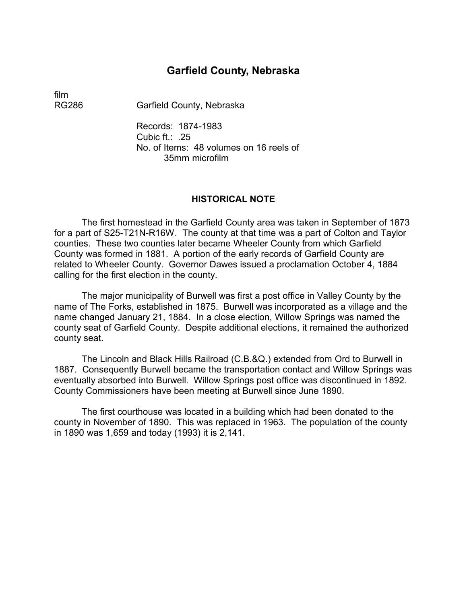# **Garfield County, Nebraska**

film

RG286 Garfield County, Nebraska

Records: 1874-1983 Cubic  $ft$ : .25 No. of Items: 48 volumes on 16 reels of 35mm microfilm

#### **HISTORICAL NOTE**

The first homestead in the Garfield County area was taken in September of 1873 for a part of S25-T21N-R16W. The county at that time was a part of Colton and Taylor counties. These two counties later became Wheeler County from which Garfield County was formed in 1881. A portion of the early records of Garfield County are related to Wheeler County. Governor Dawes issued a proclamation October 4, 1884 calling for the first election in the county.

The major municipality of Burwell was first a post office in Valley County by the name of The Forks, established in 1875. Burwell was incorporated as a village and the name changed January 21, 1884. In a close election, Willow Springs was named the county seat of Garfield County. Despite additional elections, it remained the authorized county seat.

The Lincoln and Black Hills Railroad (C.B.&Q.) extended from Ord to Burwell in 1887. Consequently Burwell became the transportation contact and Willow Springs was eventually absorbed into Burwell. Willow Springs post office was discontinued in 1892. County Commissioners have been meeting at Burwell since June 1890.

The first courthouse was located in a building which had been donated to the county in November of 1890. This was replaced in 1963. The population of the county in 1890 was 1,659 and today (1993) it is 2,141.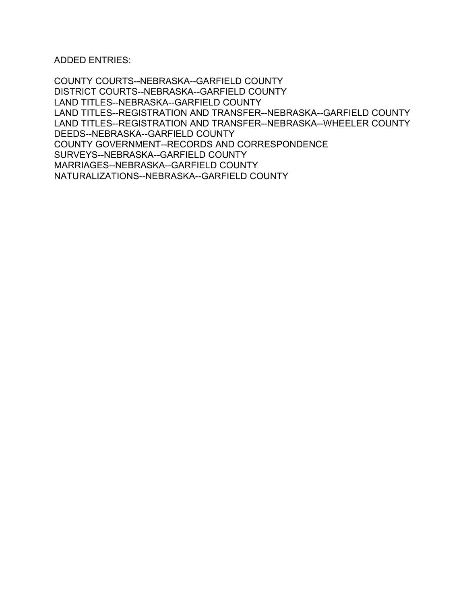ADDED ENTRIES:

COUNTY COURTS--NEBRASKA--GARFIELD COUNTY DISTRICT COURTS--NEBRASKA--GARFIELD COUNTY LAND TITLES--NEBRASKA--GARFIELD COUNTY LAND TITLES--REGISTRATION AND TRANSFER--NEBRASKA--GARFIELD COUNTY LAND TITLES--REGISTRATION AND TRANSFER--NEBRASKA--WHEELER COUNTY DEEDS--NEBRASKA--GARFIELD COUNTY COUNTY GOVERNMENT--RECORDS AND CORRESPONDENCE SURVEYS--NEBRASKA--GARFIELD COUNTY MARRIAGES--NEBRASKA--GARFIELD COUNTY NATURALIZATIONS--NEBRASKA--GARFIELD COUNTY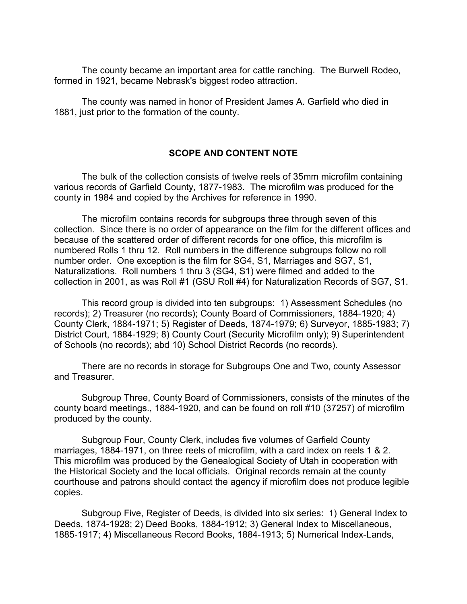The county became an important area for cattle ranching. The Burwell Rodeo, formed in 1921, became Nebrask's biggest rodeo attraction.

The county was named in honor of President James A. Garfield who died in 1881, just prior to the formation of the county.

### **SCOPE AND CONTENT NOTE**

The bulk of the collection consists of twelve reels of 35mm microfilm containing various records of Garfield County, 1877-1983. The microfilm was produced for the county in 1984 and copied by the Archives for reference in 1990.

The microfilm contains records for subgroups three through seven of this collection. Since there is no order of appearance on the film for the different offices and because of the scattered order of different records for one office, this microfilm is numbered Rolls 1 thru 12. Roll numbers in the difference subgroups follow no roll number order. One exception is the film for SG4, S1, Marriages and SG7, S1, Naturalizations. Roll numbers 1 thru 3 (SG4, S1) were filmed and added to the collection in 2001, as was Roll #1 (GSU Roll #4) for Naturalization Records of SG7, S1.

This record group is divided into ten subgroups: 1) Assessment Schedules (no records); 2) Treasurer (no records); County Board of Commissioners, 1884-1920; 4) County Clerk, 1884-1971; 5) Register of Deeds, 1874-1979; 6) Surveyor, 1885-1983; 7) District Court, 1884-1929; 8) County Court (Security Microfilm only); 9) Superintendent of Schools (no records); abd 10) School District Records (no records).

There are no records in storage for Subgroups One and Two, county Assessor and Treasurer.

Subgroup Three, County Board of Commissioners, consists of the minutes of the county board meetings., 1884-1920, and can be found on roll #10 (37257) of microfilm produced by the county.

Subgroup Four, County Clerk, includes five volumes of Garfield County marriages, 1884-1971, on three reels of microfilm, with a card index on reels 1 & 2. This microfilm was produced by the Genealogical Society of Utah in cooperation with the Historical Society and the local officials. Original records remain at the county courthouse and patrons should contact the agency if microfilm does not produce legible copies.

Subgroup Five, Register of Deeds, is divided into six series: 1) General Index to Deeds, 1874-1928; 2) Deed Books, 1884-1912; 3) General Index to Miscellaneous, 1885-1917; 4) Miscellaneous Record Books, 1884-1913; 5) Numerical Index-Lands,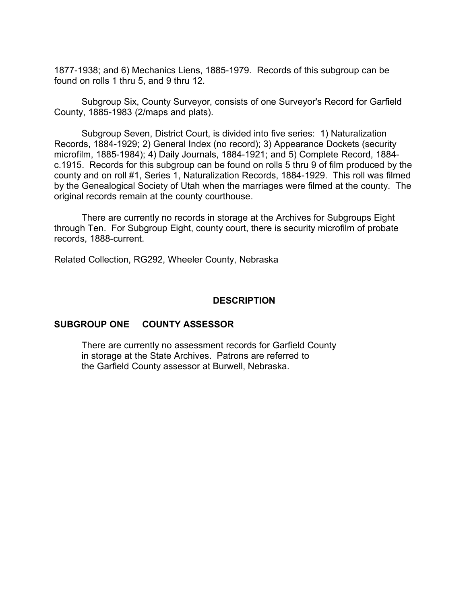1877-1938; and 6) Mechanics Liens, 1885-1979. Records of this subgroup can be found on rolls 1 thru 5, and 9 thru 12.

Subgroup Six, County Surveyor, consists of one Surveyor's Record for Garfield County, 1885-1983 (2/maps and plats).

Subgroup Seven, District Court, is divided into five series: 1) Naturalization Records, 1884-1929; 2) General Index (no record); 3) Appearance Dockets (security microfilm, 1885-1984); 4) Daily Journals, 1884-1921; and 5) Complete Record, 1884 c.1915. Records for this subgroup can be found on rolls 5 thru 9 of film produced by the county and on roll #1, Series 1, Naturalization Records, 1884-1929. This roll was filmed by the Genealogical Society of Utah when the marriages were filmed at the county. The original records remain at the county courthouse.

There are currently no records in storage at the Archives for Subgroups Eight through Ten. For Subgroup Eight, county court, there is security microfilm of probate records, 1888-current.

Related Collection, RG292, Wheeler County, Nebraska

### **DESCRIPTION**

### **SUBGROUP ONE COUNTY ASSESSOR**

There are currently no assessment records for Garfield County in storage at the State Archives. Patrons are referred to the Garfield County assessor at Burwell, Nebraska.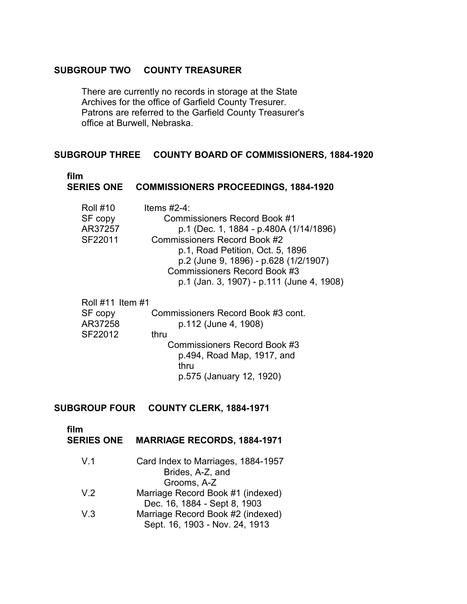### **SUBGROUP TWO COUNTY TREASURER**

There are currently no records in storage at the State Archives for the office of Garfield County Tresurer. Patrons are referred to the Garfield County Treasurer's office at Burwell, Nebraska.

### **SUBGROUP THREE COUNTY BOARD OF COMMISSIONERS, 1884-1920**

#### **film**

### **SERIES ONE COMMISSIONERS PROCEEDINGS, 1884-1920**

| <b>Roll #10</b> | Items $#2-4$ :                            |
|-----------------|-------------------------------------------|
| SF copy         | <b>Commissioners Record Book #1</b>       |
| AR37257         | p.1 (Dec. 1, 1884 - p.480A (1/14/1896)    |
| SF22011         | Commissioners Record Book #2              |
|                 | p.1, Road Petition, Oct. 5, 1896          |
|                 | p.2 (June 9, 1896) - p.628 (1/2/1907)     |
|                 | Commissioners Record Book #3              |
|                 | p.1 (Jan. 3, 1907) - p.111 (June 4, 1908) |
|                 |                                           |

| Roll #11 Item #1<br>SF copy<br>AR37258<br>SF22012 | Commissioners Record Book #3 cont.<br>p.112 (June 4, 1908)<br>thru                             |
|---------------------------------------------------|------------------------------------------------------------------------------------------------|
|                                                   | Commissioners Record Book #3<br>p.494, Road Map, 1917, and<br>thru<br>p.575 (January 12, 1920) |

### **SUBGROUP FOUR COUNTY CLERK, 1884-1971**

### **film**

### **SERIES ONE MARRIAGE RECORDS, 1884-1971**

| V.1 | Card Index to Marriages, 1884-1957 |
|-----|------------------------------------|
|     | Brides, A-Z, and                   |
|     | Grooms, A-Z                        |
| V.2 | Marriage Record Book #1 (indexed)  |
|     | Dec. 16, 1884 - Sept 8, 1903       |
| V.3 | Marriage Record Book #2 (indexed)  |
|     | Sept. 16, 1903 - Nov. 24, 1913     |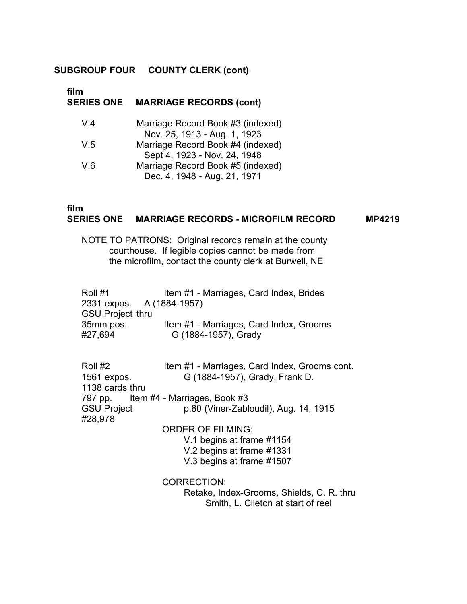### **SUBGROUP FOUR COUNTY CLERK (cont)**

# **film**

# **SERIES ONE MARRIAGE RECORDS (cont)**

| V.4 | Marriage Record Book #3 (indexed) |
|-----|-----------------------------------|
|     | Nov. 25, 1913 - Aug. 1, 1923      |
| V.5 | Marriage Record Book #4 (indexed) |
|     | Sept 4, 1923 - Nov. 24, 1948      |
| V.6 | Marriage Record Book #5 (indexed) |
|     | Dec. 4, 1948 - Aug. 21, 1971      |

#### **film SERIES ONE MARRIAGE RECORDS - MICROFILM RECORD MP4219**

NOTE TO PATRONS: Original records remain at the county � courthouse. If legible copies cannot be made from the microfilm, contact the county clerk at Burwell, NE

Roll #1 Item #1 - Marriages, Card Index, Brides 2331 expos. A (1884-1957) � GSU Project thru � 35mm pos. Item #1 - Marriages, Card Index, Grooms #27,694 G (1884-1957), Grady

Roll #2 Item #1 - Marriages, Card Index, Grooms cont. 1561 expos. G (1884-1957), Grady, Frank D. 1138 cards thru 797 pp. Item #4 - Marriages, Book #3 GSU Project p.80 (Viner-Zabloudil), Aug. 14, 1915 #28,978 ORDER OF FILMING: V.1 begins at frame #1154 V.2 begins at frame #1331 V.3 begins at frame #1507

CORRECTION:

Retake, Index-Grooms, Shields, C. R. thru Smith, L. Clieton at start of reel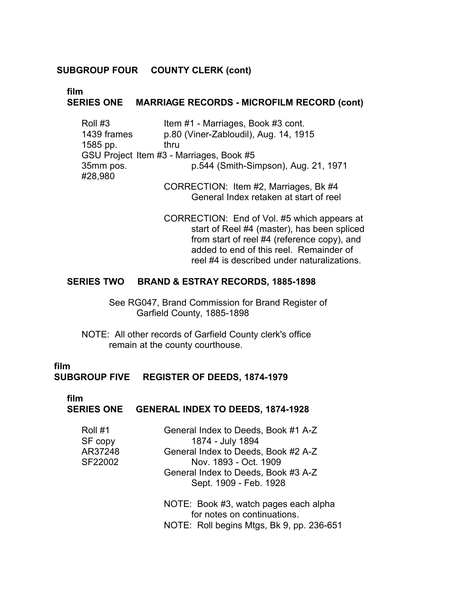### **SUBGROUP FOUR COUNTY CLERK (cont)**

 **film**

### **SERIES ONE MARRIAGE RECORDS - MICROFILM RECORD (cont)**

- Roll #3 Item #1 Marriages, Book #3 cont. 1439 frames p.80 (Viner-Zabloudil), Aug. 14, 1915 1585 pp. thru GSU Project Item #3 - Marriages, Book #5 35mm pos. p.544 (Smith-Simpson), Aug. 21, 1971 #28,980 CORRECTION: Item #2, Marriages, Bk #4
	- General Index retaken at start of reel
	- CORRECTION: End of Vol. #5 which appears at start of Reel #4 (master), has been spliced from start of reel #4 (reference copy), and added to end of this reel. Remainder of reel #4 is described under naturalizations.

#### **SERIES TWO BRAND & ESTRAY RECORDS, 1885-1898**

See RG047, Brand Commission for Brand Register of Garfield County, 1885-1898

NOTE: All other records of Garfield County clerk's office remain at the county courthouse.

# **film**

**SUBGROUP FIVE REGISTER OF DEEDS, 1874-1979**

# **film**

#### **SERIES ONE GENERAL INDEX TO DEEDS, 1874-1928**

| General Index to Deeds, Book #1 A-Z |
|-------------------------------------|
| 1874 - July 1894                    |
| General Index to Deeds, Book #2 A-Z |
| Nov. 1893 - Oct. 1909               |
| General Index to Deeds, Book #3 A-Z |
| Sept. 1909 - Feb. 1928              |
|                                     |

NOTE: Book #3, watch pages each alpha for notes on continuations. NOTE: Roll begins Mtgs, Bk 9, pp. 236-651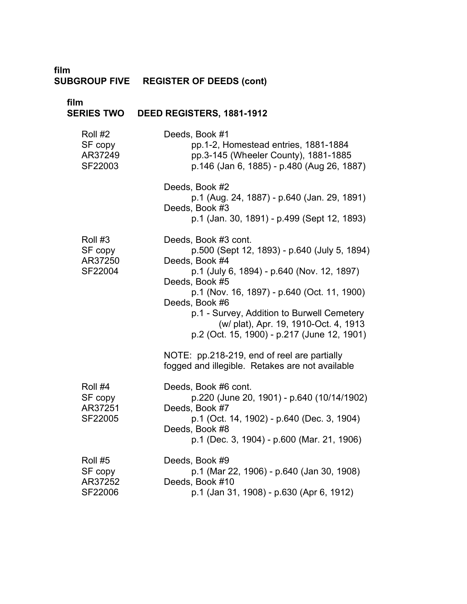**film SUBGROUP FIVE REGISTER OF DEEDS (cont)**

**film**

| film                                     | SERIES TWO DEED REGISTERS, 1881-1912                                                                                                                                                                                                                                                                                                                          |
|------------------------------------------|---------------------------------------------------------------------------------------------------------------------------------------------------------------------------------------------------------------------------------------------------------------------------------------------------------------------------------------------------------------|
| Roll #2<br>SF copy<br>AR37249<br>SF22003 | Deeds, Book #1<br>pp.1-2, Homestead entries, 1881-1884<br>pp.3-145 (Wheeler County), 1881-1885<br>p.146 (Jan 6, 1885) - p.480 (Aug 26, 1887)                                                                                                                                                                                                                  |
|                                          | Deeds, Book #2<br>p.1 (Aug. 24, 1887) - p.640 (Jan. 29, 1891)<br>Deeds, Book #3<br>p.1 (Jan. 30, 1891) - p.499 (Sept 12, 1893)                                                                                                                                                                                                                                |
| Roll #3<br>SF copy<br>AR37250<br>SF22004 | Deeds, Book #3 cont.<br>p.500 (Sept 12, 1893) - p.640 (July 5, 1894)<br>Deeds, Book #4<br>p.1 (July 6, 1894) - p.640 (Nov. 12, 1897)<br>Deeds, Book #5<br>p.1 (Nov. 16, 1897) - p.640 (Oct. 11, 1900)<br>Deeds, Book #6<br>p.1 - Survey, Addition to Burwell Cemetery<br>(w/ plat), Apr. 19, 1910-Oct. 4, 1913<br>p.2 (Oct. 15, 1900) - p.217 (June 12, 1901) |
|                                          | NOTE: pp.218-219, end of reel are partially<br>fogged and illegible. Retakes are not available                                                                                                                                                                                                                                                                |
| Roll #4<br>SF copy<br>AR37251<br>SF22005 | Deeds, Book #6 cont.<br>p.220 (June 20, 1901) - p.640 (10/14/1902)<br>Deeds, Book #7<br>p.1 (Oct. 14, 1902) - p.640 (Dec. 3, 1904)<br>Deeds, Book #8<br>p.1 (Dec. 3, 1904) - p.600 (Mar. 21, 1906)                                                                                                                                                            |
| Roll #5<br>SF copy<br>AR37252<br>SF22006 | Deeds, Book #9<br>p.1 (Mar 22, 1906) - p.640 (Jan 30, 1908)<br>Deeds, Book #10<br>p.1 (Jan 31, 1908) - p.630 (Apr 6, 1912)                                                                                                                                                                                                                                    |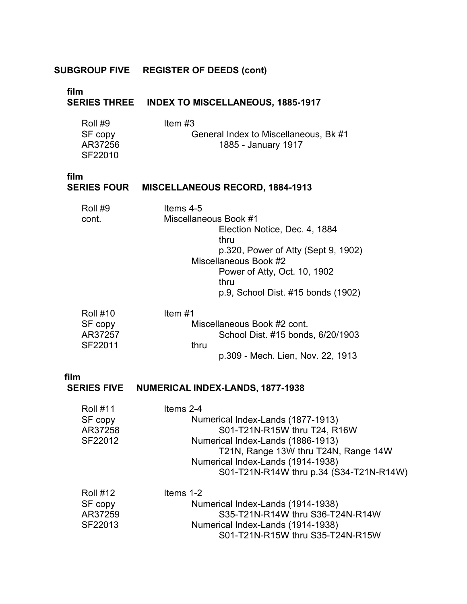#### **SUBGROUP FIVE REGISTER OF DEEDS (cont)**

| film<br><b>SERIES THREE</b>                      | <b>INDEX TO MISCELLANEOUS, 1885-1917</b>                                                                                                                                                                                                    |
|--------------------------------------------------|---------------------------------------------------------------------------------------------------------------------------------------------------------------------------------------------------------------------------------------------|
| Roll #9<br>SF copy<br>AR37256<br>SF22010         | Item $#3$<br>General Index to Miscellaneous, Bk #1<br>1885 - January 1917                                                                                                                                                                   |
| film<br><b>SERIES FOUR</b>                       | <b>MISCELLANEOUS RECORD, 1884-1913</b>                                                                                                                                                                                                      |
| Roll #9<br>cont.                                 | Items 4-5<br>Miscellaneous Book #1<br>Election Notice, Dec. 4, 1884<br>thru<br>p.320, Power of Atty (Sept 9, 1902)<br>Miscellaneous Book #2<br>Power of Atty, Oct. 10, 1902<br>thru<br>p.9, School Dist. #15 bonds (1902)                   |
| <b>Roll #10</b><br>SF copy<br>AR37257<br>SF22011 | Item $#1$<br>Miscellaneous Book #2 cont.<br>School Dist. #15 bonds, 6/20/1903<br>thru<br>p.309 - Mech. Lien, Nov. 22, 1913                                                                                                                  |
| film<br><b>SERIES FIVE</b>                       | <b>NUMERICAL INDEX-LANDS, 1877-1938</b>                                                                                                                                                                                                     |
| <b>Roll #11</b><br>SF copy<br>AR37258<br>SF22012 | Items 2-4<br>Numerical Index-Lands (1877-1913)<br>S01-T21N-R15W thru T24, R16W<br>Numerical Index-Lands (1886-1913)<br>T21N, Range 13W thru T24N, Range 14W<br>Numerical Index-Lands (1914-1938)<br>S01-T21N-R14W thru p.34 (S34-T21N-R14W) |
| <b>Roll #12</b><br>SF copy<br>AR37259<br>SF22013 | Items 1-2<br>Numerical Index-Lands (1914-1938)<br>S35-T21N-R14W thru S36-T24N-R14W<br>Numerical Index-Lands (1914-1938)<br>S01-T21N-R15W thru S35-T24N-R15W                                                                                 |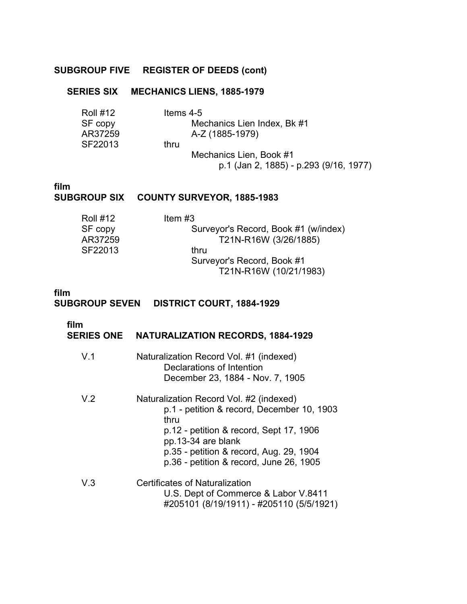### **SUBGROUP FIVE** � **REGISTER OF DEEDS (cont)**

#### **SERIES SIX MECHANICS LIENS, 1885-1979**

| <b>Roll #12</b> | Items $4-5$ |                                        |
|-----------------|-------------|----------------------------------------|
| SF copy         |             | Mechanics Lien Index, Bk #1            |
| AR37259         |             | A-Z (1885-1979)                        |
| SF22013         | thru        |                                        |
|                 |             | Mechanics Lien, Book #1                |
|                 |             | p.1 (Jan 2, 1885) - p.293 (9/16, 1977) |

# **film**

#### **SUBGROUP SIX COUNTY SURVEYOR, 1885-1983**

| <b>Roll #12</b> | Item $#3$                            |
|-----------------|--------------------------------------|
| SF copy         | Surveyor's Record, Book #1 (w/index) |
| AR37259         | T21N-R16W (3/26/1885)                |
| SF22013         | thru                                 |
|                 | Surveyor's Record, Book #1           |
|                 | T21N-R16W (10/21/1983)               |

### **film SUBGROUP SEVEN DISTRICT COURT, 1884-1929**

### **film**

### **SERIES ONE NATURALIZATION RECORDS, 1884-1929**

| V.1  | Naturalization Record Vol. #1 (indexed)<br>Declarations of Intention<br>December 23, 1884 - Nov. 7, 1905 |
|------|----------------------------------------------------------------------------------------------------------|
| 11 O | الموردة والموزان فالملي المعرود والمستخدر والمعربان والمتحرق                                             |

| V 2 | Naturalization Record Vol. #2 (indexed)    |
|-----|--------------------------------------------|
|     | p.1 - petition & record, December 10, 1903 |
|     | thru                                       |
|     | p.12 - petition & record, Sept 17, 1906    |
|     | pp.13-34 are blank                         |
|     | p.35 - petition & record, Aug. 29, 1904    |
|     | p.36 - petition & record, June 26, 1905    |
| V.3 | <b>Certificates of Naturalization</b>      |
|     | U.S. Dept of Commerce & Labor V.8411       |

#205101 (8/19/1911) - #205110 (5/5/1921)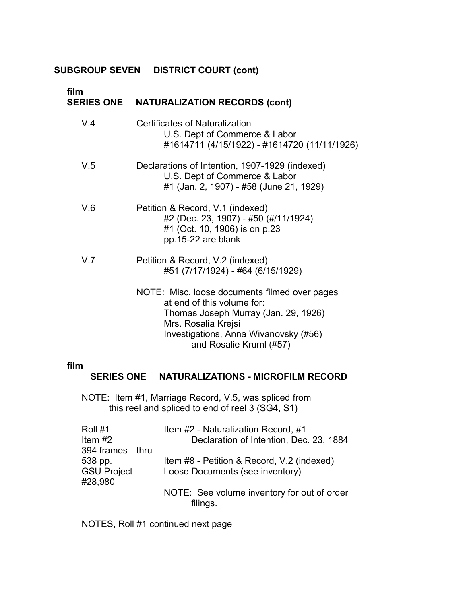# **film**

# **SERIES ONE NATURALIZATION RECORDS (cont)**

| V.4 | <b>Certificates of Naturalization</b><br>U.S. Dept of Commerce & Labor<br>#1614711 (4/15/1922) - #1614720 (11/11/1926)                                                                                         |
|-----|----------------------------------------------------------------------------------------------------------------------------------------------------------------------------------------------------------------|
| V.5 | Declarations of Intention, 1907-1929 (indexed)<br>U.S. Dept of Commerce & Labor<br>#1 (Jan. 2, 1907) - #58 (June 21, 1929)                                                                                     |
| V.6 | Petition & Record, V.1 (indexed)<br>#2 (Dec. 23, 1907) - #50 (#/11/1924)<br>#1 (Oct. 10, 1906) is on p.23<br>pp.15-22 are blank                                                                                |
| V.7 | Petition & Record, V.2 (indexed)<br>#51 (7/17/1924) - #64 (6/15/1929)                                                                                                                                          |
|     | NOTE: Misc. loose documents filmed over pages<br>at end of this volume for:<br>Thomas Joseph Murray (Jan. 29, 1926)<br>Mrs. Rosalia Krejsi<br>Investigations, Anna Wivanovsky (#56)<br>and Rosalie Kruml (#57) |

#### **film**

### **SERIES ONE NATURALIZATIONS - MICROFILM RECORD**

NOTE: Item #1, Marriage Record, V.5, was spliced from this reel and spliced to end of reel 3 (SG4, S1)

| Roll #1            | Item #2 - Naturalization Record, #1         |
|--------------------|---------------------------------------------|
| Item $#2$          | Declaration of Intention, Dec. 23, 1884     |
| 394 frames thru    |                                             |
| 538 pp.            | Item #8 - Petition & Record, V.2 (indexed)  |
| <b>GSU Project</b> | Loose Documents (see inventory)             |
| #28,980            |                                             |
|                    | NOTE: See volume inventory for out of order |
|                    | filings.                                    |

NOTES, Roll #1 continued next page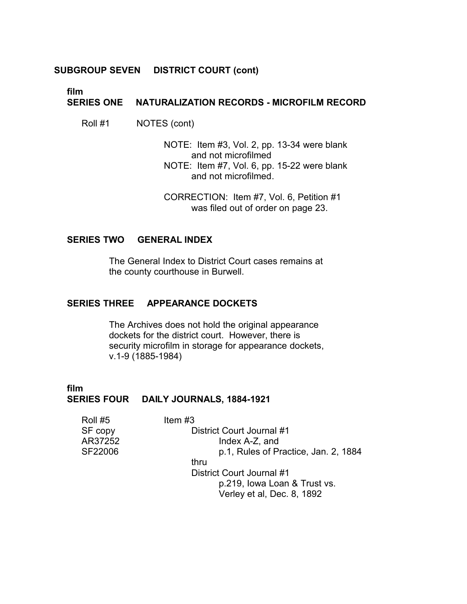**film**

### **SERIES ONE NATURALIZATION RECORDS - MICROFILM RECORD**

Roll #1 NOTES (cont)

NOTE: Item #3, Vol. 2, pp. 13-34 were blank and not microfilmed NOTE: Item #7, Vol. 6, pp. 15-22 were blank and not microfilmed.

CORRECTION: Item #7, Vol. 6, Petition #1 was filed out of order on page 23.

### **SERIES TWO GENERAL INDEX**

The General Index to District Court cases remains at the county courthouse in Burwell.

### **SERIES THREE APPEARANCE DOCKETS**

The Archives does not hold the original appearance dockets for the district court. However, there is security microfilm in storage for appearance dockets, v.1-9 (1885-1984)

### **film SERIES FOUR DAILY JOURNALS, 1884-1921**

| Roll #5 | Item $#3$                            |
|---------|--------------------------------------|
| SF copy | District Court Journal #1            |
| AR37252 | Index A-Z, and                       |
| SF22006 | p.1, Rules of Practice, Jan. 2, 1884 |
|         | thru                                 |
|         | District Court Journal #1            |
|         | p.219, Iowa Loan & Trust vs.         |
|         | Verley et al, Dec. 8, 1892           |
|         |                                      |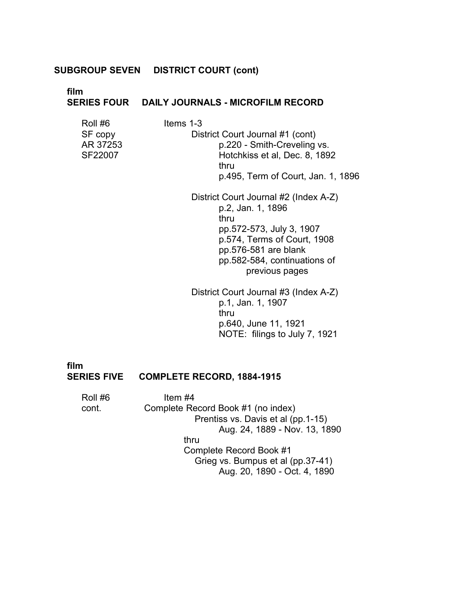**film**

### **SERIES FOUR DAILY JOURNALS - MICROFILM RECORD**

| Roll #6  | Items 1-3                          |
|----------|------------------------------------|
| SF copy  | District Court Journal #1 (cont)   |
| AR 37253 | p.220 - Smith-Creveling vs.        |
| SF22007  | Hotchkiss et al, Dec. 8, 1892      |
|          | thru                               |
|          | p.495, Term of Court, Jan. 1, 1896 |

District Court Journal #2 (Index A-Z) p.2, Jan. 1, 1896 thru pp.572-573, July 3, 1907 p.574, Terms of Court, 1908 pp.576-581 are blank pp.582-584, continuations of previous pages

District Court Journal #3 (Index A-Z) p.1, Jan. 1, 1907 thru p.640, June 11, 1921 NOTE: filings to July 7, 1921

 **film SERIES FIVE COMPLETE RECORD, 1884-1915** 

Roll #6 Item #4 cont. Complete Record Book #1 (no index) Prentiss vs. Davis et al (pp.1-15) Aug. 24, 1889 - Nov. 13, 1890 thru Complete Record Book #1 Grieg vs. Bumpus et al (pp.37-41) Aug. 20, 1890 - Oct. 4, 1890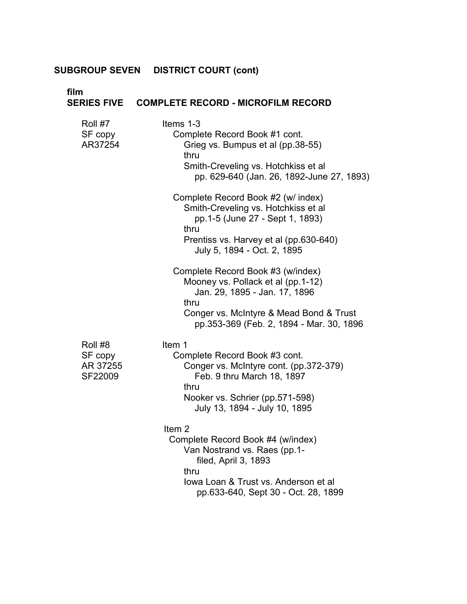| film<br><b>SERIES FIVE</b>                | <b>COMPLETE RECORD - MICROFILM RECORD</b>                                                                                                                                                               |
|-------------------------------------------|---------------------------------------------------------------------------------------------------------------------------------------------------------------------------------------------------------|
| Roll #7<br>SF copy<br>AR37254             | Items 1-3<br>Complete Record Book #1 cont.<br>Grieg vs. Bumpus et al (pp.38-55)<br>thru<br>Smith-Creveling vs. Hotchkiss et al<br>pp. 629-640 (Jan. 26, 1892-June 27, 1893)                             |
|                                           | Complete Record Book #2 (w/ index)<br>Smith-Creveling vs. Hotchkiss et al<br>pp.1-5 (June 27 - Sept 1, 1893)<br>thru<br>Prentiss vs. Harvey et al (pp.630-640)<br>July 5, 1894 - Oct. 2, 1895           |
|                                           | Complete Record Book #3 (w/index)<br>Mooney vs. Pollack et al (pp.1-12)<br>Jan. 29, 1895 - Jan. 17, 1896<br>thru<br>Conger vs. McIntyre & Mead Bond & Trust<br>pp.353-369 (Feb. 2, 1894 - Mar. 30, 1896 |
| Roll #8<br>SF copy<br>AR 37255<br>SF22009 | Item 1<br>Complete Record Book #3 cont.<br>Conger vs. McIntyre cont. (pp.372-379)<br>Feb. 9 thru March 18, 1897<br>thru<br>Nooker vs. Schrier (pp.571-598)<br>July 13, 1894 - July 10, 1895             |
|                                           | Item <sub>2</sub><br>Complete Record Book #4 (w/index)<br>Van Nostrand vs. Raes (pp.1-<br>filed, April 3, 1893<br>thru<br>lowa Loan & Trust vs. Anderson et al<br>pp.633-640, Sept 30 - Oct. 28, 1899   |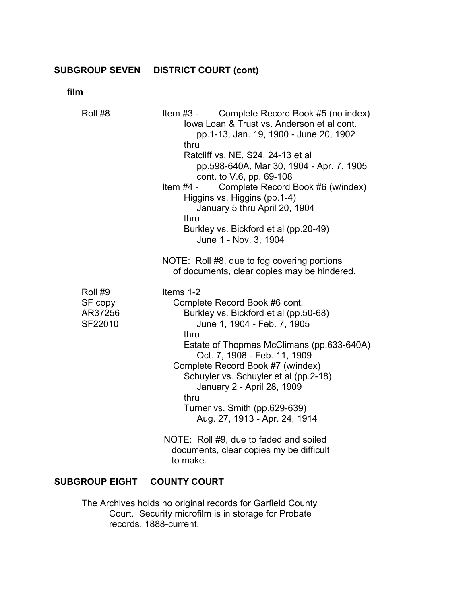**film** 

| Roll #8                                  | Item #3 - Complete Record Book #5 (no index)<br>lowa Loan & Trust vs. Anderson et al cont.<br>pp.1-13, Jan. 19, 1900 - June 20, 1902<br>thru<br>Ratcliff vs. NE, S24, 24-13 et al.<br>pp.598-640A, Mar 30, 1904 - Apr. 7, 1905<br>cont. to V.6, pp. 69-108<br>Complete Record Book #6 (w/index)<br>Item $#4 -$<br>Higgins vs. Higgins (pp. 1-4)<br>January 5 thru April 20, 1904<br>thru<br>Burkley vs. Bickford et al (pp.20-49)<br>June 1 - Nov. 3, 1904 |
|------------------------------------------|------------------------------------------------------------------------------------------------------------------------------------------------------------------------------------------------------------------------------------------------------------------------------------------------------------------------------------------------------------------------------------------------------------------------------------------------------------|
|                                          | NOTE: Roll #8, due to fog covering portions<br>of documents, clear copies may be hindered.                                                                                                                                                                                                                                                                                                                                                                 |
| Roll #9<br>SF copy<br>AR37256<br>SF22010 | Items 1-2<br>Complete Record Book #6 cont.<br>Burkley vs. Bickford et al (pp.50-68)<br>June 1, 1904 - Feb. 7, 1905<br>thru<br>Estate of Thopmas McClimans (pp.633-640A)<br>Oct. 7, 1908 - Feb. 11, 1909<br>Complete Record Book #7 (w/index)<br>Schuyler vs. Schuyler et al (pp.2-18)<br>January 2 - April 28, 1909<br>thru<br>Turner vs. Smith (pp.629-639)<br>Aug. 27, 1913 - Apr. 24, 1914                                                              |
|                                          | NOTE: Roll #9, due to faded and soiled<br>documents, clear copies my be difficult<br>to make.                                                                                                                                                                                                                                                                                                                                                              |

# **SUBGROUP EIGHT COUNTY COURT**

The Archives holds no original records for Garfield County Court. Security microfilm is in storage for Probate records, 1888-current.